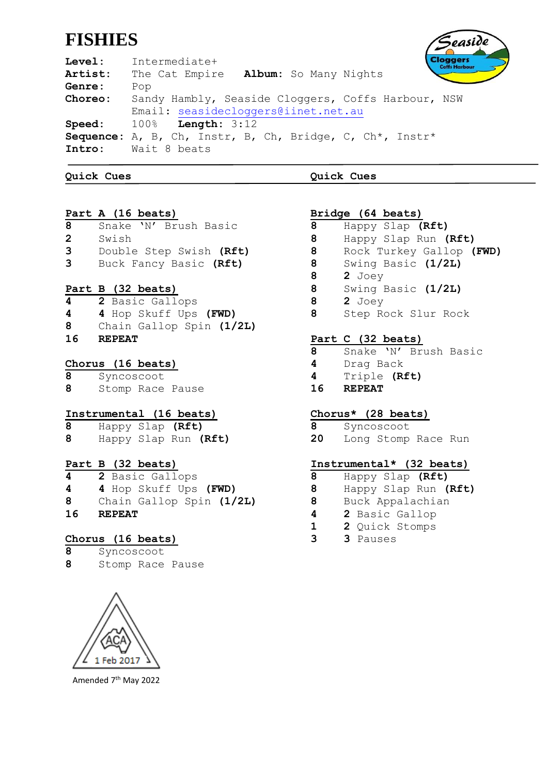# **FISHIES**

easide loggers

**Level:** Intermediate+ **Artist:** The Cat Empire **Album:** So Many Nights **Genre:** Pop **Choreo:** Sandy Hambly, Seaside Cloggers, Coffs Harbour, NSW Email: [seasidecloggers@iinet.net.au](mailto:seasidecloggers@iinet.net.au) **Speed:** 100% **Length:** 3:12 **Sequence:** A, B, Ch, Instr, B, Ch, Bridge, C, Ch\*, Instr\* **Intro:** Wait 8 beats

**Quick Cues Quick Cues**

# **Part A (16 beats)**

**8** Snake 'N' Brush Basic **2** Swish **3** Double Step Swish **(Rft)**

- **3** Buck Fancy Basic **(Rft)**
- **Part B (32 beats)**
- **4 2** Basic Gallops
- **4 4** Hop Skuff Ups **(FWD)**
- **8** Chain Gallop Spin **(1/2L)**
- **16 REPEAT**

# **Chorus (16 beats)**

**8** Syncoscoot

**8** Stomp Race Pause

## **Instrumental (16 beats)**

**8** Happy Slap **(Rft) 8** Happy Slap Run **(Rft)**

# **Part B (32 beats)**

 **2** Basic Gallops **4** Hop Skuff Ups **(FWD)** Chain Gallop Spin **(1/2L) 16 REPEAT**

# **Chorus (16 beats)**

- **8** Syncoscoot
- **8** Stomp Race Pause



Amended 7th May 2022

## **Bridge (64 beats) 8** Happy Slap **(Rft)**

- **8** Happy Slap Run **(Rft)**
- **8** Rock Turkey Gallop **(FWD)**
- **8** Swing Basic **(1/2L)**
- **8 2** Joey
- **8** Swing Basic **(1/2L)**
- **8 2** Joey
- **8** Step Rock Slur Rock

# **Part C (32 beats)**

- **8** Snake 'N' Brush Basic
- **4** Drag Back
- **4** Triple **(Rft)**
- **16 REPEAT**

# **Chorus\* (28 beats)**

- **8** Syncoscoot
- **20** Long Stomp Race Run

# **Instrumental\* (32 beats)**

- **8** Happy Slap **(Rft)**
- **8** Happy Slap Run **(Rft)**
- **8** Buck Appalachian
- **4 2** Basic Gallop
- **1 2** Quick Stomps
- **3 3** Pauses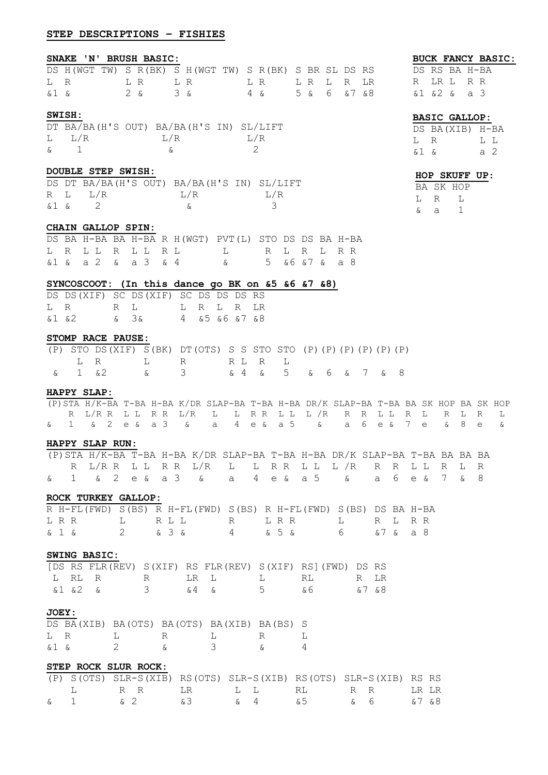## **STEP DESCRIPTIONS – FISHIES**

#### **SNAKE 'N' BRUSH BASIC:**

## DS H(WGT TW) S R(BK) S H(WGT TW) S R(BK) S BR SL DS RS L R L R L R L R L R L R LR &1 & 2 & 3 & 4 & 5 & 6 &7 &8

#### **SWISH:**

|          |           | DT BA/BA(H'S OUT) BA/BA(H'S IN) SL/LIFT |           |
|----------|-----------|-----------------------------------------|-----------|
|          | $L \tL/R$ | $T_{1}/R$                               | $T_{1}/R$ |
| $\delta$ |           |                                         |           |

#### **DOUBLE STEP SWISH:**

|       |         | DS DT BA/BA(H'S OUT) BA/BA(H'S IN) SL/LIFT |           |
|-------|---------|--------------------------------------------|-----------|
|       | R L L/R | T./R                                       | $T_{1}/R$ |
| & 1 & |         |                                            |           |

#### **CHAIN GALLOP SPIN:**

|  |                     |  |  | DS BA H-BA BA H-BA R H(WGT) PVT(L) STO DS DS BA H-BA |  |  |  |
|--|---------------------|--|--|------------------------------------------------------|--|--|--|
|  |                     |  |  | LRLLRLLRLL LRLRLRR                                   |  |  |  |
|  | & 1 & a 2 & a 3 & 4 |  |  | & 5 & 6 & 7 & a 8                                    |  |  |  |

#### **SYNCOSCOOT: (In this dance go BK on &5 &6 &7 &8)**

|       |       |                    | DS DS (XIF) SC DS (XIF) SC DS DS DS RS |            |  |                   |
|-------|-------|--------------------|----------------------------------------|------------|--|-------------------|
|       | LR RL |                    |                                        | L R L R LR |  |                   |
| &1 &2 |       | $\delta = 3\delta$ |                                        |            |  | 4 & 5 & 6 & 7 & 8 |

#### **STOMP RACE PAUSE:**

|  |  | (P) STO DS(XIF) S(BK) DT(OTS) S S STO STO (P)(P)(P)(P)(P)(P) |  |  |  |  |  |
|--|--|--------------------------------------------------------------|--|--|--|--|--|
|  |  | LR LR RLRL                                                   |  |  |  |  |  |
|  |  | & 1 &2 & 3 & 4 & 5 & 6 & 7 & 8                               |  |  |  |  |  |

## **HAPPY SLAP:**

(P)STA H/K-BA T-BA H-BA K/DR SLAP-BA T-BA H-BA DR/K SLAP-BA T-BA BA SK HOP BA SK HOP R L/R R L L R R L/R L L R R L L L /R R R L L R L R L R L & 1 & 2 e & a 3 & a 4 e & a 5 & a 6 e & 7 e & 8 e &

#### **HAPPY SLAP RUN:**

|  |  |  |  | (P) STA H/K-BA T-BA H-BA K/DR SLAP-BA T-BA H-BA DR/K SLAP-BA T-BA BA BA BA |  |  |  |  |  |  |  |  |
|--|--|--|--|----------------------------------------------------------------------------|--|--|--|--|--|--|--|--|
|  |  |  |  | R L/RR LL RR L/R LL RR LL L /R R R LL R L R                                |  |  |  |  |  |  |  |  |
|  |  |  |  | & 1 & 2 e & a 3 & a 4 e & a 5 & a 6 e & 7 & 8                              |  |  |  |  |  |  |  |  |

#### **ROCK TURKEY GALLOP:**

|  |  |  |  |  | R H-FL(FWD) S(BS) R H-FL(FWD) S(BS) R H-FL(FWD) S(BS) DS BA H-BA |  |  |  |
|--|--|--|--|--|------------------------------------------------------------------|--|--|--|
|  |  |  |  |  | LRR LRLLL RLRR LRRLRR                                            |  |  |  |
|  |  |  |  |  | & 1 & 2 & 3 & 4 & 5 & 6 & 7 & a 8                                |  |  |  |

#### **SWING BASIC:**

|  |         |  |  | [DS RS FLR(REV) S(XIF) RS FLR(REV) S(XIF) RS](FWD) DS RS |  |
|--|---------|--|--|----------------------------------------------------------|--|
|  |         |  |  | LRLR RLRLL LRLRLR                                        |  |
|  | &1 &2 & |  |  | 3 & 4 & 5 & 6 & 7 & 8                                    |  |

#### **JOEY:**

|      |  |   | DS BA(XIB) BA(OTS) BA(OTS) BA(XIB) BA(BS) S |   |  |
|------|--|---|---------------------------------------------|---|--|
| L R  |  | R |                                             | R |  |
| 51 S |  |   |                                             |   |  |

| STEP ROCK SLUR ROCK: |  |                                                                   |  |  |  |  |
|----------------------|--|-------------------------------------------------------------------|--|--|--|--|
|                      |  | (P) S(OTS) SLR-S(XIB) RS(OTS) SLR-S(XIB) RS(OTS) SLR-S(XIB) RS RS |  |  |  |  |
|                      |  | T. RRT.RT. T.T. RT. RRT.                                          |  |  |  |  |
|                      |  | & 1 & 2 & 3 & 4 & 5 & 6 & 7 & 8                                   |  |  |  |  |

## **BUCK FANCY BASIC:** DS RS BA H-BA R LR L R R

| <b>BASIC GALLOP:</b> |  |  |
|----------------------|--|--|
| &1 &2 & a 3          |  |  |

|      | DS BA(XIB) H-BA |     |       |
|------|-----------------|-----|-------|
| L R  |                 |     | T. T. |
| &1 & |                 | a 2 |       |

|    |   | HOP SKUFF UP: |  |
|----|---|---------------|--|
|    |   | BA SK HOP     |  |
| т. | R | т.            |  |
| ୷  | a |               |  |